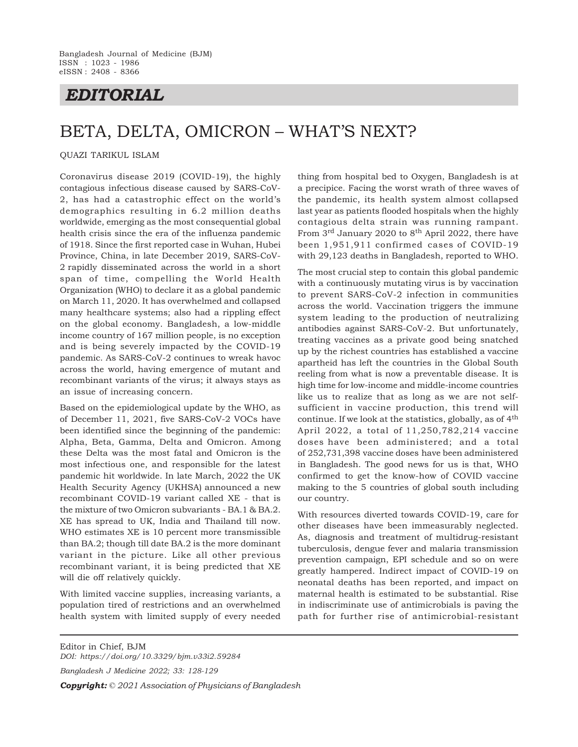## *EDITORIAL*

# BETA, DELTA, OMICRON – WHAT'S NEXT?

### QUAZI TARIKUL ISLAM

Coronavirus disease 2019 (COVID-19), the highly contagious infectious disease caused by SARS-CoV-2, has had a catastrophic effect on the world's demographics resulting in 6.2 million deaths worldwide, emerging as the most consequential global health crisis since the era of the influenza pandemic of 1918. Since the first reported case in Wuhan, Hubei Province, China, in late December 2019, SARS-CoV-2 rapidly disseminated across the world in a short span of time, compelling the World Health Organization (WHO) to declare it as a global pandemic on March 11, 2020. It has overwhelmed and collapsed many healthcare systems; also had a rippling effect on the global economy. Bangladesh, a low-middle income country of 167 million people, is no exception and is being severely impacted by the COVID-19 pandemic. As SARS-CoV-2 continues to wreak havoc across the world, having emergence of mutant and recombinant variants of the virus; it always stays as an issue of increasing concern.

Based on the epidemiological update by the WHO, as of December 11, 2021, five SARS-CoV-2 VOCs have been identified since the beginning of the pandemic: Alpha, Beta, Gamma, Delta and Omicron. Among these Delta was the most fatal and Omicron is the most infectious one, and responsible for the latest pandemic hit worldwide. In late March, 2022 the UK Health Security Agency (UKHSA) announced a new recombinant COVID-19 variant called XE - that is the mixture of two Omicron subvariants - BA.1 & BA.2. XE has spread to UK, India and Thailand till now. WHO estimates XE is 10 percent more transmissible than BA.2; though till date BA.2 is the more dominant variant in the picture. Like all other previous recombinant variant, it is being predicted that XE will die off relatively quickly.

With limited vaccine supplies, increasing variants, a population tired of restrictions and an overwhelmed health system with limited supply of every needed

thing from hospital bed to Oxygen, Bangladesh is at a precipice. Facing the worst wrath of three waves of the pandemic, its health system almost collapsed last year as patients flooded hospitals when the highly contagious delta strain was running rampant. From 3rd January 2020 to 8th April 2022, there have been 1,951,911 confirmed cases of COVID-19 with 29,123 deaths in Bangladesh, reported to WHO.

The most crucial step to contain this global pandemic with a continuously mutating virus is by vaccination to prevent SARS-CoV-2 infection in communities across the world. Vaccination triggers the immune system leading to the production of neutralizing antibodies against SARS-CoV-2. But unfortunately, treating vaccines as a private good being snatched up by the richest countries has established a vaccine apartheid has left the countries in the Global South reeling from what is now a preventable disease. It is high time for low-income and middle-income countries like us to realize that as long as we are not selfsufficient in vaccine production, this trend will continue. If we look at the statistics, globally, as of 4th April 2022, a total of 11,250,782,214 vaccine doses have been administered; and a total of 252,731,398 vaccine doses have been administered in Bangladesh. The good news for us is that, WHO confirmed to get the know-how of COVID vaccine making to the 5 countries of global south including our country.

With resources diverted towards COVID-19, care for other diseases have been immeasurably neglected. As, diagnosis and treatment of multidrug-resistant tuberculosis, dengue fever and malaria transmission prevention campaign, EPI schedule and so on were greatly hampered. Indirect impact of COVID-19 on neonatal deaths has been reported, and impact on maternal health is estimated to be substantial. Rise in indiscriminate use of antimicrobials is paving the path for further rise of antimicrobial-resistant

Editor in Chief, BJM *DOI: https://doi.org/10.3329/bjm.v33i2.59284 Bangladesh J Medicine 2022; 33: 128-129 Copyright: © 2021 Association of Physicians of Bangladesh*